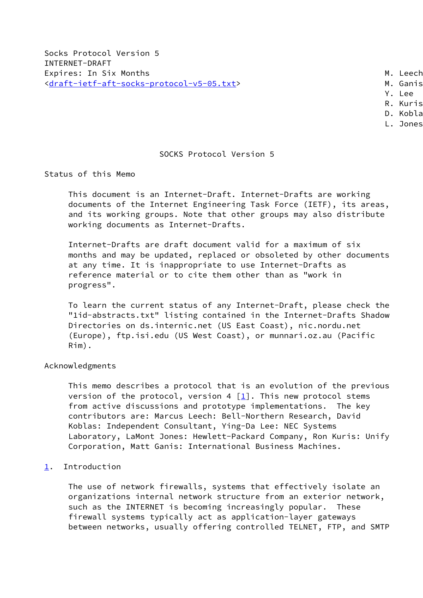Socks Protocol Version 5 INTERNET-DRAFT Expires: In Six Months Manuscriptus and Manuscriptus M. Leech [<draft-ietf-aft-socks-protocol-v5-05.txt](https://datatracker.ietf.org/doc/pdf/draft-ietf-aft-socks-protocol-v5-05.txt)> M. Ganis

- 
- Y. Lee
- R. Kuris
- D. Koblas L. Jones

# SOCKS Protocol Version 5

Status of this Memo

 This document is an Internet-Draft. Internet-Drafts are working documents of the Internet Engineering Task Force (IETF), its areas, and its working groups. Note that other groups may also distribute working documents as Internet-Drafts.

 Internet-Drafts are draft document valid for a maximum of six months and may be updated, replaced or obsoleted by other documents at any time. It is inappropriate to use Internet-Drafts as reference material or to cite them other than as "work in progress".

 To learn the current status of any Internet-Draft, please check the "1id-abstracts.txt" listing contained in the Internet-Drafts Shadow Directories on ds.internic.net (US East Coast), nic.nordu.net (Europe), ftp.isi.edu (US West Coast), or munnari.oz.au (Pacific Rim).

## Acknowledgments

 This memo describes a protocol that is an evolution of the previous version of the protocol, version 4  $[1]$ . This new protocol stems from active discussions and prototype implementations. The key contributors are: Marcus Leech: Bell-Northern Research, David Koblas: Independent Consultant, Ying-Da Lee: NEC Systems Laboratory, LaMont Jones: Hewlett-Packard Company, Ron Kuris: Unify Corporation, Matt Ganis: International Business Machines.

## <span id="page-0-0"></span>[1](#page-0-0). Introduction

 The use of network firewalls, systems that effectively isolate an organizations internal network structure from an exterior network, such as the INTERNET is becoming increasingly popular. These firewall systems typically act as application-layer gateways between networks, usually offering controlled TELNET, FTP, and SMTP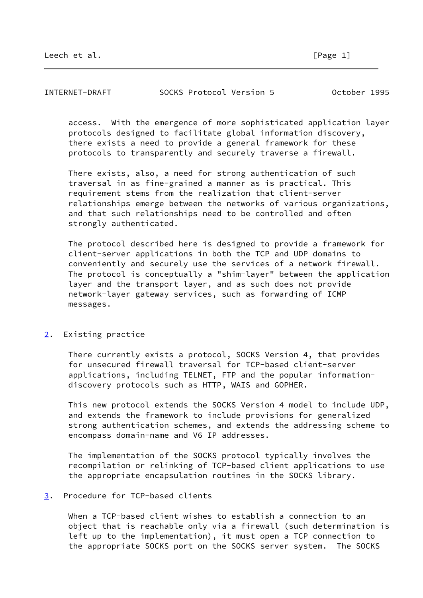| Leech et<br>$\overline{\phantom{a}}$ |  |
|--------------------------------------|--|
|                                      |  |

| INTERNET-DRAFT | SOCKS Protocol Version 5 |  |  | October 1995 |  |
|----------------|--------------------------|--|--|--------------|--|
|----------------|--------------------------|--|--|--------------|--|

 access. With the emergence of more sophisticated application layer protocols designed to facilitate global information discovery, there exists a need to provide a general framework for these protocols to transparently and securely traverse a firewall.

 There exists, also, a need for strong authentication of such traversal in as fine-grained a manner as is practical. This requirement stems from the realization that client-server relationships emerge between the networks of various organizations, and that such relationships need to be controlled and often strongly authenticated.

 The protocol described here is designed to provide a framework for client-server applications in both the TCP and UDP domains to conveniently and securely use the services of a network firewall. The protocol is conceptually a "shim-layer" between the application layer and the transport layer, and as such does not provide network-layer gateway services, such as forwarding of ICMP messages.

## <span id="page-1-0"></span>[2](#page-1-0). Existing practice

 There currently exists a protocol, SOCKS Version 4, that provides for unsecured firewall traversal for TCP-based client-server applications, including TELNET, FTP and the popular information discovery protocols such as HTTP, WAIS and GOPHER.

 This new protocol extends the SOCKS Version 4 model to include UDP, and extends the framework to include provisions for generalized strong authentication schemes, and extends the addressing scheme to encompass domain-name and V6 IP addresses.

 The implementation of the SOCKS protocol typically involves the recompilation or relinking of TCP-based client applications to use the appropriate encapsulation routines in the SOCKS library.

# <span id="page-1-1"></span>[3](#page-1-1). Procedure for TCP-based clients

 When a TCP-based client wishes to establish a connection to an object that is reachable only via a firewall (such determination is left up to the implementation), it must open a TCP connection to the appropriate SOCKS port on the SOCKS server system. The SOCKS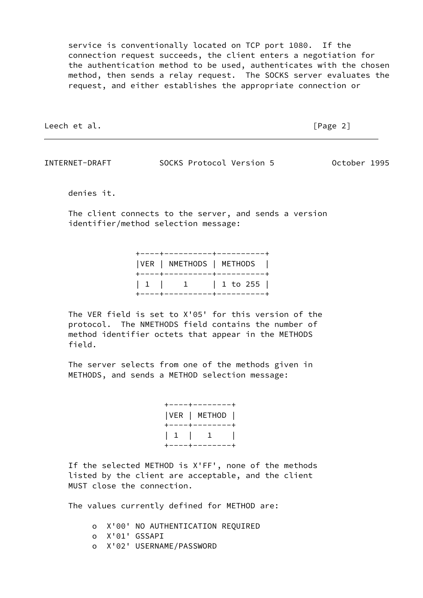service is conventionally located on TCP port 1080. If the connection request succeeds, the client enters a negotiation for the authentication method to be used, authenticates with the chosen method, then sends a relay request. The SOCKS server evaluates the request, and either establishes the appropriate connection or

Leech et al. **Example 2** and the set of the set of the set of the set of the set of the set of the set of the set of the set of the set of the set of the set of the set of the set of the set of the set of the set of the se

INTERNET-DRAFT SOCKS Protocol Version 5 October 1995

denies it.

 The client connects to the server, and sends a version identifier/method selection message:

|  | +----+----------+----------+  |
|--|-------------------------------|
|  | VER   NMETHODS   METHODS      |
|  | +-----+----------+----------+ |
|  | $1 1 1 1 1$ $1 1$ $1 0 255$   |
|  | +-----+----------+----------+ |

 The VER field is set to X'05' for this version of the protocol. The NMETHODS field contains the number of method identifier octets that appear in the METHODS field.

 The server selects from one of the methods given in METHODS, and sends a METHOD selection message:

> +----+--------+ |VER | METHOD | +----+--------+ | 1 | 1 | +----+--------+

 If the selected METHOD is X'FF', none of the methods listed by the client are acceptable, and the client MUST close the connection.

The values currently defined for METHOD are:

 o X'00' NO AUTHENTICATION REQUIRED o X'01' GSSAPI o X'02' USERNAME/PASSWORD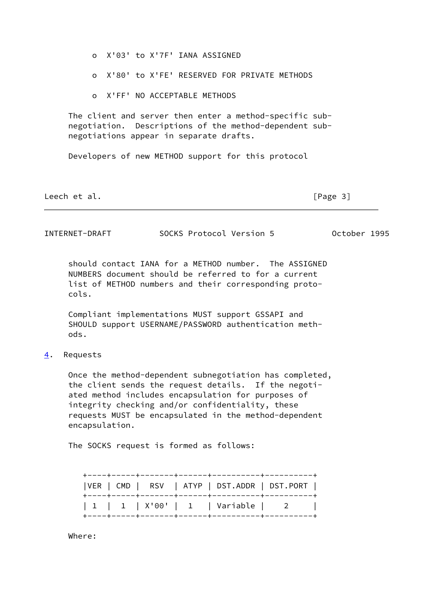- o X'03' to X'7F' IANA ASSIGNED
- o X'80' to X'FE' RESERVED FOR PRIVATE METHODS
- o X'FF' NO ACCEPTABLE METHODS

 The client and server then enter a method-specific sub negotiation. Descriptions of the method-dependent sub negotiations appear in separate drafts.

Developers of new METHOD support for this protocol

Leech et al. [Page 3]

INTERNET-DRAFT SOCKS Protocol Version 5 October 1995

 should contact IANA for a METHOD number. The ASSIGNED NUMBERS document should be referred to for a current list of METHOD numbers and their corresponding proto cols.

 Compliant implementations MUST support GSSAPI and SHOULD support USERNAME/PASSWORD authentication meth ods.

<span id="page-3-0"></span>[4](#page-3-0). Requests

 Once the method-dependent subnegotiation has completed, the client sends the request details. If the negoti ated method includes encapsulation for purposes of integrity checking and/or confidentiality, these requests MUST be encapsulated in the method-dependent encapsulation.

The SOCKS request is formed as follows:

|  |  | $ VER   CMD   RSV   ATP   DST.ADDR   DST.PORT  $ |  |
|--|--|--------------------------------------------------|--|
|  |  | 1   1   X'00'   1   Variable   2                 |  |

Where: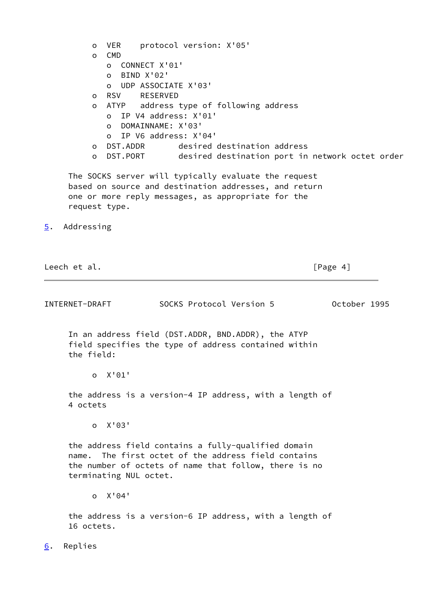<span id="page-4-0"></span> o VER protocol version: X'05' o CMD o CONNECT X'01' o BIND X'02' o UDP ASSOCIATE X'03' o RSV RESERVED o ATYP address type of following address o IP V4 address: X'01' o DOMAINNAME: X'03' o IP V6 address: X'04' o DST.ADDR desired destination address o DST.PORT desired destination port in network octet order The SOCKS server will typically evaluate the request based on source and destination addresses, and return one or more reply messages, as appropriate for the request type. [5](#page-4-0). Addressing Leech et al. **Example 20** Second 2011 12:00 12:00 12:00 12:00 12:00 12:00 12:00 12:00 12:00 12:00 12:00 12:00 12:00 12:00 12:00 12:00 12:00 12:00 12:00 12:00 12:00 12:00 12:00 12:00 12:00 12:00 12:00 12:00 12:00 12:00 12:0 INTERNET-DRAFT SOCKS Protocol Version 5 October 1995 In an address field (DST.ADDR, BND.ADDR), the ATYP field specifies the type of address contained within the field: o X'01' the address is a version-4 IP address, with a length of 4 octets o X'03' the address field contains a fully-qualified domain name. The first octet of the address field contains the number of octets of name that follow, there is no terminating NUL octet. o X'04' the address is a version-6 IP address, with a length of 16 octets.

<span id="page-4-1"></span>[6](#page-4-1). Replies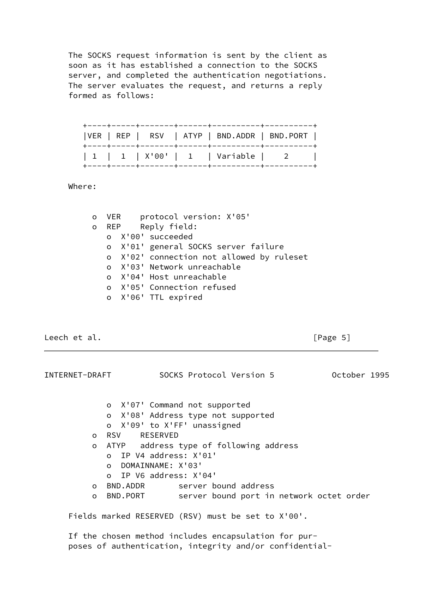The SOCKS request information is sent by the client as soon as it has established a connection to the SOCKS server, and completed the authentication negotiations. The server evaluates the request, and returns a reply formed as follows:

| VER   REP   RSV   ATYP   BND.ADDR   BND.PORT |  |
|----------------------------------------------|--|
| 1   1   X'00'   1   Variable   2             |  |

Where:

|              | o VER | protocol version: X'05'                   |
|--------------|-------|-------------------------------------------|
| $\mathsf{O}$ |       | REP Reply field:                          |
|              |       | o X'00' succeeded                         |
|              |       | o X'01' general SOCKS server failure      |
|              |       | o X'02' connection not allowed by ruleset |
|              |       | o X'03' Network unreachable               |
|              |       | o X'04' Host unreachable                  |
|              |       | o X'05' Connection refused                |
|              |       | o X'06' TTL expired                       |

Leech et al. **Example 20** Second 2011 12:00 12:00 12:00 12:00 12:00 12:00 12:00 12:00 12:00 12:00 12:00 12:00 12:00 12:00 12:00 12:00 12:00 12:00 12:00 12:00 12:00 12:00 12:00 12:00 12:00 12:00 12:00 12:00 12:00 12:00 12:0

INTERNET-DRAFT SOCKS Protocol Version 5 October 1995 o X'07' Command not supported o X'08' Address type not supported o X'09' to X'FF' unassigned o RSV RESERVED o ATYP address type of following address o IP V4 address: X'01' o DOMAINNAME: X'03' o IP V6 address: X'04' o BND.ADDR server bound address o BND.PORT server bound port in network octet order Fields marked RESERVED (RSV) must be set to X'00'.

 If the chosen method includes encapsulation for pur poses of authentication, integrity and/or confidential-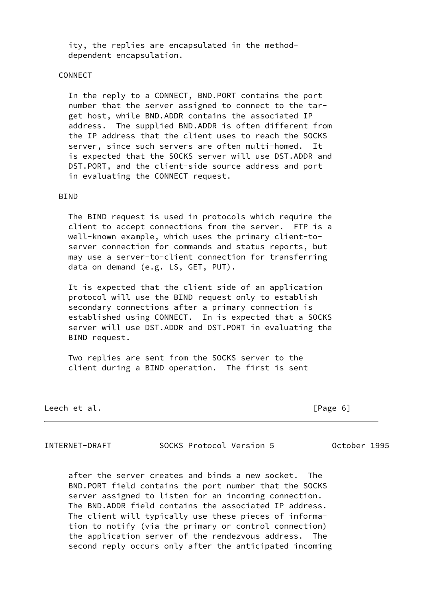ity, the replies are encapsulated in the method dependent encapsulation.

### CONNECT

 In the reply to a CONNECT, BND.PORT contains the port number that the server assigned to connect to the tar get host, while BND.ADDR contains the associated IP address. The supplied BND.ADDR is often different from the IP address that the client uses to reach the SOCKS server, since such servers are often multi-homed. It is expected that the SOCKS server will use DST.ADDR and DST.PORT, and the client-side source address and port in evaluating the CONNECT request.

### BIND

 The BIND request is used in protocols which require the client to accept connections from the server. FTP is a well-known example, which uses the primary client-to server connection for commands and status reports, but may use a server-to-client connection for transferring data on demand (e.g. LS, GET, PUT).

 It is expected that the client side of an application protocol will use the BIND request only to establish secondary connections after a primary connection is established using CONNECT. In is expected that a SOCKS server will use DST.ADDR and DST.PORT in evaluating the BIND request.

 Two replies are sent from the SOCKS server to the client during a BIND operation. The first is sent

Leech et al. **Example 20** and the contract of the contract of  $[Page 6]$ 

INTERNET-DRAFT SOCKS Protocol Version 5 October 1995

 after the server creates and binds a new socket. The BND.PORT field contains the port number that the SOCKS server assigned to listen for an incoming connection. The BND.ADDR field contains the associated IP address. The client will typically use these pieces of informa tion to notify (via the primary or control connection) the application server of the rendezvous address. The second reply occurs only after the anticipated incoming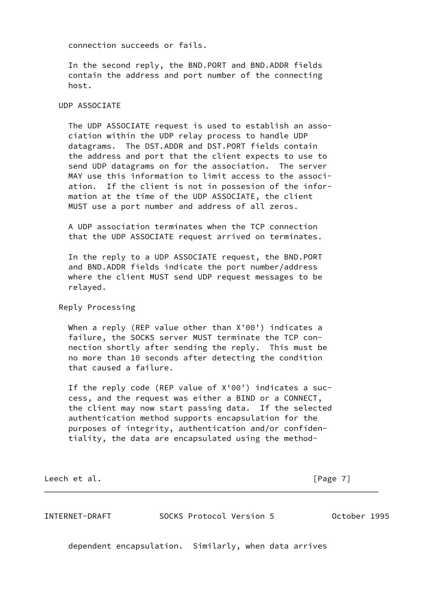connection succeeds or fails.

 In the second reply, the BND.PORT and BND.ADDR fields contain the address and port number of the connecting host.

#### UDP ASSOCIATE

 The UDP ASSOCIATE request is used to establish an asso ciation within the UDP relay process to handle UDP datagrams. The DST.ADDR and DST.PORT fields contain the address and port that the client expects to use to send UDP datagrams on for the association. The server MAY use this information to limit access to the associ ation. If the client is not in possesion of the infor mation at the time of the UDP ASSOCIATE, the client MUST use a port number and address of all zeros.

 A UDP association terminates when the TCP connection that the UDP ASSOCIATE request arrived on terminates.

 In the reply to a UDP ASSOCIATE request, the BND.PORT and BND.ADDR fields indicate the port number/address where the client MUST send UDP request messages to be relayed.

Reply Processing

When a reply (REP value other than X'00') indicates a failure, the SOCKS server MUST terminate the TCP con nection shortly after sending the reply. This must be no more than 10 seconds after detecting the condition that caused a failure.

 If the reply code (REP value of X'00') indicates a suc cess, and the request was either a BIND or a CONNECT, the client may now start passing data. If the selected authentication method supports encapsulation for the purposes of integrity, authentication and/or confiden tiality, the data are encapsulated using the method-

Leech et al. [Page 7]

INTERNET-DRAFT SOCKS Protocol Version 5 October 1995

dependent encapsulation. Similarly, when data arrives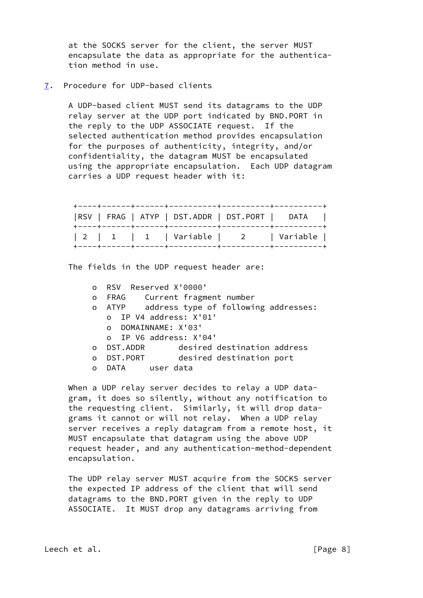at the SOCKS server for the client, the server MUST encapsulate the data as appropriate for the authentica tion method in use.

<span id="page-8-0"></span>[7](#page-8-0). Procedure for UDP-based clients

 A UDP-based client MUST send its datagrams to the UDP relay server at the UDP port indicated by BND.PORT in the reply to the UDP ASSOCIATE request. If the selected authentication method provides encapsulation for the purposes of authenticity, integrity, and/or confidentiality, the datagram MUST be encapsulated using the appropriate encapsulation. Each UDP datagram carries a UDP request header with it:

|  |  | RSV   FRAG   ATYP   DST.ADDR   DST.PORT   DATA |  |
|--|--|------------------------------------------------|--|
|  |  | 2   1   1   Variable   2   Variable            |  |

The fields in the UDP request header are:

 o RSV Reserved X'0000' o FRAG Current fragment number<br>o ATYP address type of followi address type of following addresses: o IP V4 address: X'01' o DOMAINNAME: X'03' o IP V6 address: X'04' o DST.ADDR desired destination address o DST.PORT desired destination port o DATA user data

When a UDP relay server decides to relay a UDP data gram, it does so silently, without any notification to the requesting client. Similarly, it will drop data grams it cannot or will not relay. When a UDP relay server receives a reply datagram from a remote host, it MUST encapsulate that datagram using the above UDP request header, and any authentication-method-dependent encapsulation.

 The UDP relay server MUST acquire from the SOCKS server the expected IP address of the client that will send datagrams to the BND.PORT given in the reply to UDP ASSOCIATE. It MUST drop any datagrams arriving from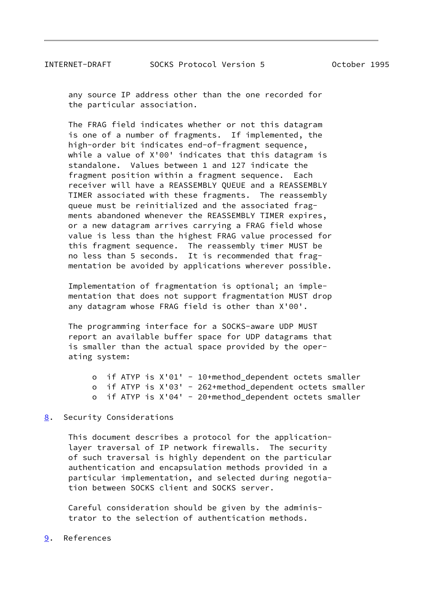any source IP address other than the one recorded for the particular association.

 The FRAG field indicates whether or not this datagram is one of a number of fragments. If implemented, the high-order bit indicates end-of-fragment sequence, while a value of X'00' indicates that this datagram is standalone. Values between 1 and 127 indicate the fragment position within a fragment sequence. Each receiver will have a REASSEMBLY QUEUE and a REASSEMBLY TIMER associated with these fragments. The reassembly queue must be reinitialized and the associated frag ments abandoned whenever the REASSEMBLY TIMER expires, or a new datagram arrives carrying a FRAG field whose value is less than the highest FRAG value processed for this fragment sequence. The reassembly timer MUST be no less than 5 seconds. It is recommended that frag mentation be avoided by applications wherever possible.

 Implementation of fragmentation is optional; an imple mentation that does not support fragmentation MUST drop any datagram whose FRAG field is other than X'00'.

 The programming interface for a SOCKS-aware UDP MUST report an available buffer space for UDP datagrams that is smaller than the actual space provided by the oper ating system:

 o if ATYP is X'01' - 10+method\_dependent octets smaller o if ATYP is X'03' - 262+method\_dependent octets smaller o if ATYP is X'04' - 20+method\_dependent octets smaller

## <span id="page-9-0"></span>[8](#page-9-0). Security Considerations

 This document describes a protocol for the application layer traversal of IP network firewalls. The security of such traversal is highly dependent on the particular authentication and encapsulation methods provided in a particular implementation, and selected during negotia tion between SOCKS client and SOCKS server.

 Careful consideration should be given by the adminis trator to the selection of authentication methods.

<span id="page-9-1"></span>[9](#page-9-1). References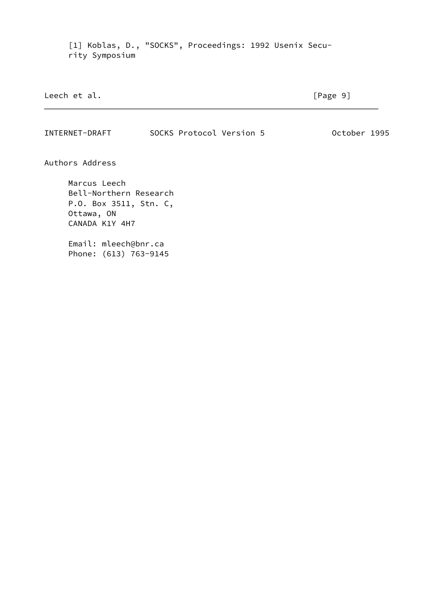<span id="page-10-0"></span> [1] Koblas, D., "SOCKS", Proceedings: 1992 Usenix Secu rity Symposium

| Leech et al. | $\lceil \text{Page } 9 \rceil$ |
|--------------|--------------------------------|
|              |                                |

INTERNET-DRAFT SOCKS Protocol Version 5 October 1995

Authors Address

 Marcus Leech Bell-Northern Research P.O. Box 3511, Stn. C, Ottawa, ON CANADA K1Y 4H7

 Email: mleech@bnr.ca Phone: (613) 763-9145